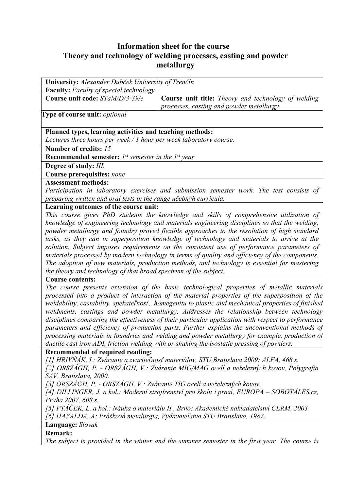## **Information sheet for the course Theory and technology of welding processes, casting and powder metallurgy**

| University: Alexander Dubček University of Trenčín                                                              |                                                                                                 |  |  |  |  |
|-----------------------------------------------------------------------------------------------------------------|-------------------------------------------------------------------------------------------------|--|--|--|--|
| <b>Faculty:</b> Faculty of special technology                                                                   |                                                                                                 |  |  |  |  |
| Course unit code: STaM/D/3-39/e                                                                                 | Course unit title: Theory and technology of welding<br>processes, casting and powder metallurgy |  |  |  |  |
| <b>Type of course unit:</b> optional                                                                            |                                                                                                 |  |  |  |  |
| Planned types, learning activities and teaching methods:                                                        |                                                                                                 |  |  |  |  |
| Lectures three hours per week / 1 hour per week laboratory course.                                              |                                                                                                 |  |  |  |  |
| Number of credits: 15                                                                                           |                                                                                                 |  |  |  |  |
| <b>Recommended semester:</b> $I^{st}$ semester in the $I^{st}$ year                                             |                                                                                                 |  |  |  |  |
| Degree of study: III.                                                                                           |                                                                                                 |  |  |  |  |
| <b>Course prerequisites: none</b>                                                                               |                                                                                                 |  |  |  |  |
| <b>Assessment methods:</b>                                                                                      |                                                                                                 |  |  |  |  |
| Participation in laboratory exercises and submission semester work. The test consists of                        |                                                                                                 |  |  |  |  |
| preparing written and oral tests in the range učebnýh curricula.                                                |                                                                                                 |  |  |  |  |
| Learning outcomes of the course unit:                                                                           |                                                                                                 |  |  |  |  |
| This course gives PhD students the knowledge and skills of comprehensive utilization of                         |                                                                                                 |  |  |  |  |
| knowledge of engineering technology and materials engineering disciplines so that the welding,                  |                                                                                                 |  |  |  |  |
| powder metallurgy and foundry proved flexible approaches to the resolution of high standard                     |                                                                                                 |  |  |  |  |
| tasks, as they can in superposition knowledge of technology and materials to arrive at the                      |                                                                                                 |  |  |  |  |
| solution. Subject imposes requirements on the consistent use of performance parameters of                       |                                                                                                 |  |  |  |  |
| materials processed by modern technology in terms of quality and efficiency of the components.                  |                                                                                                 |  |  |  |  |
| The adoption of new materials, production methods, and technology is essential for mastering                    |                                                                                                 |  |  |  |  |
| the theory and technology of that broad spectrum of the subject.                                                |                                                                                                 |  |  |  |  |
| <b>Course contents:</b>                                                                                         |                                                                                                 |  |  |  |  |
| The course presents extension of the basic technological properties of metallic materials                       |                                                                                                 |  |  |  |  |
| processed into a product of interaction of the material properties of the superposition of the                  |                                                                                                 |  |  |  |  |
| weldability, castability, spekateľnosť,, homegenitu to plastic and mechanical properties of finished            |                                                                                                 |  |  |  |  |
| weldments, castings and powder metallurgy. Addresses the relationship between technology                        |                                                                                                 |  |  |  |  |
| disciplines comparing the effectiveness of their particular application with respect to performance             |                                                                                                 |  |  |  |  |
| parameters and efficiency of production parts. Further explains the unconventional methods of                   |                                                                                                 |  |  |  |  |
| processing materials in foundries and welding and powder metallurgy for example. production of                  |                                                                                                 |  |  |  |  |
| ductile cast iron ADI, friction welding with or shaking the isostatic pressing of powders.                      |                                                                                                 |  |  |  |  |
| Recommended of required reading:                                                                                |                                                                                                 |  |  |  |  |
| [1] HRIVŇÁK, I.: Zváranie a zvariteľnosť materiálov, STU Bratislava 2009: ALFA, 468 s.                          |                                                                                                 |  |  |  |  |
| [2] ORSZÁGH, P. - ORSZÁGH, V.: Zváranie MIG/MAG ocelí a neželezných kovov, Polygrafia<br>SAV, Bratislava, 2000. |                                                                                                 |  |  |  |  |
| [3] ORSZÁGH, P. - ORSZÁGH, V.: Zváranie TIG ocelí a neželezných kovov.                                          |                                                                                                 |  |  |  |  |
| [4] DILLINGER, J. a kol.: Moderní strojírenství pro školu i praxi, EUROPA – SOBOTÁLES.cz,                       |                                                                                                 |  |  |  |  |
| Praha 2007, 608 s.                                                                                              |                                                                                                 |  |  |  |  |
| [5] PTÁČEK, L. a kol.: Náuka o materiálu II., Brno: Akademické nakladatelství CERM, 2003                        |                                                                                                 |  |  |  |  |
| [6] HAVALDA, A: Prášková metalurgia, Vydavateľstvo STU Bratislava, 1987.                                        |                                                                                                 |  |  |  |  |
| <b>Language:</b> Slovak                                                                                         |                                                                                                 |  |  |  |  |
| <b>Remark:</b>                                                                                                  |                                                                                                 |  |  |  |  |
| The subject is provided in the winter and the summer semester in the first year. The course is                  |                                                                                                 |  |  |  |  |